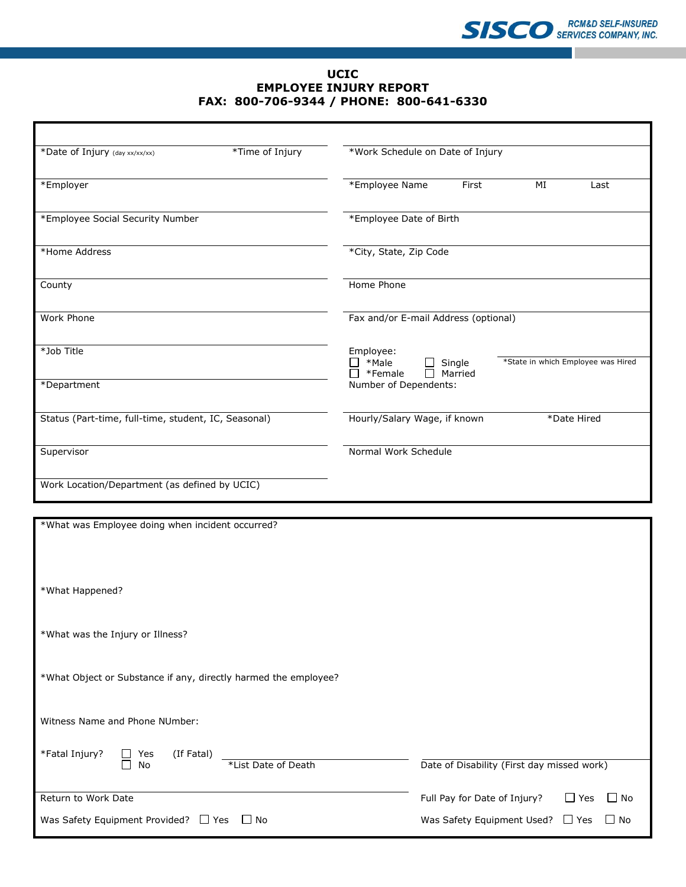## **UCIC EMPLOYEE INJURY REPORT FAX: 800-706-9344 / PHONE: 800-641-6330**

| *Time of Injury<br>*Date of Injury (day xx/xx/xx)    |  | *Work Schedule on Date of Injury                                                         |       |    |             |  |  |
|------------------------------------------------------|--|------------------------------------------------------------------------------------------|-------|----|-------------|--|--|
| *Employer                                            |  | *Employee Name                                                                           | First | MI | Last        |  |  |
| *Employee Social Security Number                     |  | *Employee Date of Birth                                                                  |       |    |             |  |  |
| *Home Address                                        |  | *City, State, Zip Code                                                                   |       |    |             |  |  |
| County                                               |  | Home Phone                                                                               |       |    |             |  |  |
| Work Phone                                           |  | Fax and/or E-mail Address (optional)                                                     |       |    |             |  |  |
| *Job Title                                           |  | Employee:<br>*State in which Employee was Hired<br>*Male<br>Single<br>Married<br>*Female |       |    |             |  |  |
| *Department                                          |  | Number of Dependents:                                                                    |       |    |             |  |  |
| Status (Part-time, full-time, student, IC, Seasonal) |  | Hourly/Salary Wage, if known                                                             |       |    | *Date Hired |  |  |
| Supervisor                                           |  | Normal Work Schedule                                                                     |       |    |             |  |  |
| Work Location/Department (as defined by UCIC)        |  |                                                                                          |       |    |             |  |  |

| *What was Employee doing when incident occurred?                |                                                         |  |  |  |  |  |
|-----------------------------------------------------------------|---------------------------------------------------------|--|--|--|--|--|
|                                                                 |                                                         |  |  |  |  |  |
|                                                                 |                                                         |  |  |  |  |  |
|                                                                 |                                                         |  |  |  |  |  |
| *What Happened?                                                 |                                                         |  |  |  |  |  |
|                                                                 |                                                         |  |  |  |  |  |
|                                                                 |                                                         |  |  |  |  |  |
| *What was the Injury or Illness?                                |                                                         |  |  |  |  |  |
|                                                                 |                                                         |  |  |  |  |  |
| *What Object or Substance if any, directly harmed the employee? |                                                         |  |  |  |  |  |
|                                                                 |                                                         |  |  |  |  |  |
|                                                                 |                                                         |  |  |  |  |  |
| Witness Name and Phone NUmber:                                  |                                                         |  |  |  |  |  |
|                                                                 |                                                         |  |  |  |  |  |
| *Fatal Injury?<br>$\Box$ Yes<br>(If Fatal)                      |                                                         |  |  |  |  |  |
| $\Box$<br>No<br>*List Date of Death                             | Date of Disability (First day missed work)              |  |  |  |  |  |
|                                                                 |                                                         |  |  |  |  |  |
| Return to Work Date                                             | Full Pay for Date of Injury?<br>$\Box$ Yes<br>$\Box$ No |  |  |  |  |  |
| Was Safety Equipment Provided? $\Box$ Yes<br>$\Box$ No          | Was Safety Equipment Used? $\Box$ Yes<br>$\Box$ No      |  |  |  |  |  |
|                                                                 |                                                         |  |  |  |  |  |